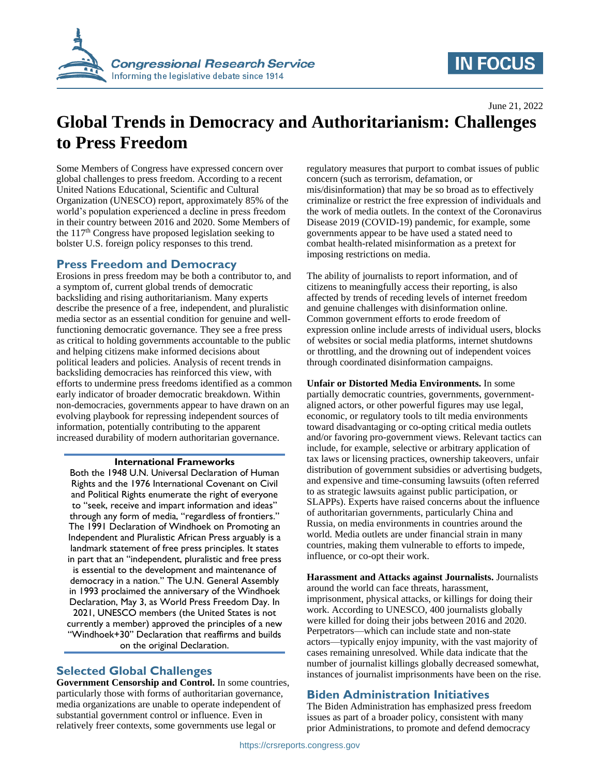

# **IN FOCUS**

June 21, 2022

# **Global Trends in Democracy and Authoritarianism: Challenges to Press Freedom**

Some Members of Congress have expressed concern over global challenges to press freedom. According to a recent United Nations Educational, Scientific and Cultural Organization (UNESCO) report, approximately 85% of the world's population experienced a decline in press freedom in their country between 2016 and 2020. Some Members of the 117th Congress have proposed legislation seeking to bolster U.S. foreign policy responses to this trend.

#### **Press Freedom and Democracy**

Erosions in press freedom may be both a contributor to, and a symptom of, current global trends of democratic backsliding and rising authoritarianism. Many experts describe the presence of a free, independent, and pluralistic media sector as an essential condition for genuine and wellfunctioning democratic governance. They see a free press as critical to holding governments accountable to the public and helping citizens make informed decisions about political leaders and policies. Analysis of recent trends in backsliding democracies has reinforced this view, with efforts to undermine press freedoms identified as a common early indicator of broader democratic breakdown. Within non-democracies, governments appear to have drawn on an evolving playbook for repressing independent sources of information, potentially contributing to the apparent increased durability of modern authoritarian governance.

#### **International Frameworks**

Both the 1948 U.N. Universal Declaration of Human Rights and the 1976 International Covenant on Civil and Political Rights enumerate the right of everyone to "seek, receive and impart information and ideas" through any form of media, "regardless of frontiers." The 1991 Declaration of Windhoek on Promoting an Independent and Pluralistic African Press arguably is a landmark statement of free press principles. It states in part that an "independent, pluralistic and free press is essential to the development and maintenance of democracy in a nation." The U.N. General Assembly in 1993 proclaimed the anniversary of the Windhoek Declaration, May 3, as World Press Freedom Day. In 2021, UNESCO members (the United States is not currently a member) approved the principles of a new "Windhoek+30" Declaration that reaffirms and builds on the original Declaration.

### **Selected Global Challenges**

**Government Censorship and Control.** In some countries, particularly those with forms of authoritarian governance, media organizations are unable to operate independent of substantial government control or influence. Even in relatively freer contexts, some governments use legal or

regulatory measures that purport to combat issues of public concern (such as terrorism, defamation, or mis/disinformation) that may be so broad as to effectively criminalize or restrict the free expression of individuals and the work of media outlets. In the context of the Coronavirus Disease 2019 (COVID-19) pandemic, for example, some governments appear to be have used a stated need to combat health-related misinformation as a pretext for imposing restrictions on media.

The ability of journalists to report information, and of citizens to meaningfully access their reporting, is also affected by trends of receding levels of internet freedom and genuine challenges with disinformation online. Common government efforts to erode freedom of expression online include arrests of individual users, blocks of websites or social media platforms, internet shutdowns or throttling, and the drowning out of independent voices through coordinated disinformation campaigns.

**Unfair or Distorted Media Environments.** In some partially democratic countries, governments, governmentaligned actors, or other powerful figures may use legal, economic, or regulatory tools to tilt media environments toward disadvantaging or co-opting critical media outlets and/or favoring pro-government views. Relevant tactics can include, for example, selective or arbitrary application of tax laws or licensing practices, ownership takeovers, unfair distribution of government subsidies or advertising budgets, and expensive and time-consuming lawsuits (often referred to as strategic lawsuits against public participation, or SLAPPs). Experts have raised concerns about the influence of authoritarian governments, particularly China and Russia, on media environments in countries around the world. Media outlets are under financial strain in many countries, making them vulnerable to efforts to impede, influence, or co-opt their work.

**Harassment and Attacks against Journalists.** Journalists around the world can face threats, harassment, imprisonment, physical attacks, or killings for doing their work. According to UNESCO, 400 journalists globally were killed for doing their jobs between 2016 and 2020. Perpetrators—which can include state and non-state actors—typically enjoy impunity, with the vast majority of cases remaining unresolved. While data indicate that the number of journalist killings globally decreased somewhat, instances of journalist imprisonments have been on the rise.

## **Biden Administration Initiatives**

The Biden Administration has emphasized press freedom issues as part of a broader policy, consistent with many prior Administrations, to promote and defend democracy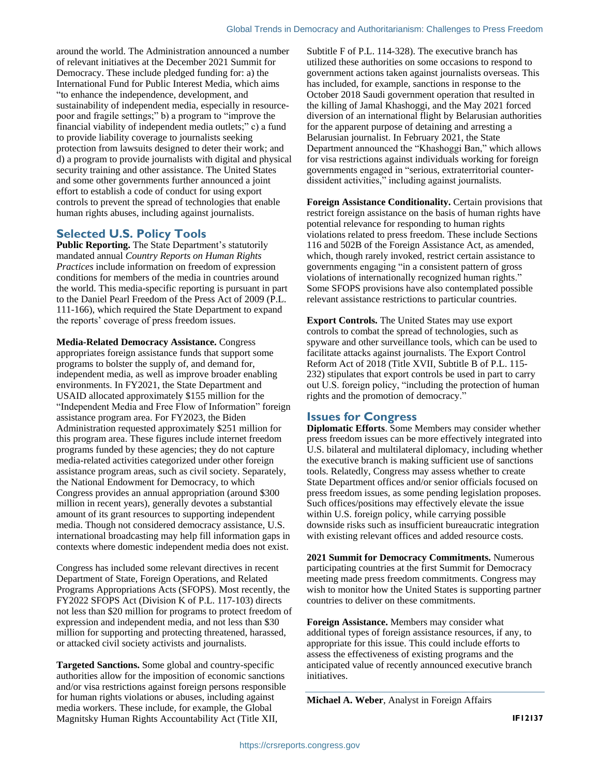around the world. The Administration announced a number of relevant initiatives at the December 2021 Summit for Democracy. These include pledged funding for: a) the International Fund for Public Interest Media, which aims "to enhance the independence, development, and sustainability of independent media, especially in resourcepoor and fragile settings;" b) a program to "improve the financial viability of independent media outlets;" c) a fund to provide liability coverage to journalists seeking protection from lawsuits designed to deter their work; and d) a program to provide journalists with digital and physical security training and other assistance. The United States and some other governments further announced a joint effort to establish a code of conduct for using export controls to prevent the spread of technologies that enable human rights abuses, including against journalists.

### **Selected U.S. Policy Tools**

**Public Reporting.** The State Department's statutorily mandated annual *Country Reports on Human Rights Practices* include information on freedom of expression conditions for members of the media in countries around the world. This media-specific reporting is pursuant in part to the Daniel Pearl Freedom of the Press Act of 2009 (P.L. 111-166), which required the State Department to expand the reports' coverage of press freedom issues.

**Media-Related Democracy Assistance.** Congress appropriates foreign assistance funds that support some programs to bolster the supply of, and demand for, independent media, as well as improve broader enabling environments. In FY2021, the State Department and USAID allocated approximately \$155 million for the "Independent Media and Free Flow of Information" foreign assistance program area. For FY2023, the Biden Administration requested approximately \$251 million for this program area. These figures include internet freedom programs funded by these agencies; they do not capture media-related activities categorized under other foreign assistance program areas, such as civil society. Separately, the National Endowment for Democracy, to which Congress provides an annual appropriation (around \$300 million in recent years), generally devotes a substantial amount of its grant resources to supporting independent media. Though not considered democracy assistance, U.S. international broadcasting may help fill information gaps in contexts where domestic independent media does not exist.

Congress has included some relevant directives in recent Department of State, Foreign Operations, and Related Programs Appropriations Acts (SFOPS). Most recently, the FY2022 SFOPS Act (Division K of P.L. 117-103) directs not less than \$20 million for programs to protect freedom of expression and independent media, and not less than \$30 million for supporting and protecting threatened, harassed, or attacked civil society activists and journalists.

**Targeted Sanctions.** Some global and country-specific authorities allow for the imposition of economic sanctions and/or visa restrictions against foreign persons responsible for human rights violations or abuses, including against media workers. These include, for example, the Global Magnitsky Human Rights Accountability Act (Title XII,

Subtitle F of P.L. 114-328). The executive branch has utilized these authorities on some occasions to respond to government actions taken against journalists overseas. This has included, for example, sanctions in response to the October 2018 Saudi government operation that resulted in the killing of Jamal Khashoggi, and the May 2021 forced diversion of an international flight by Belarusian authorities for the apparent purpose of detaining and arresting a Belarusian journalist. In February 2021, the State Department announced the "Khashoggi Ban," which allows for visa restrictions against individuals working for foreign governments engaged in "serious, extraterritorial counterdissident activities," including against journalists.

**Foreign Assistance Conditionality.** Certain provisions that restrict foreign assistance on the basis of human rights have potential relevance for responding to human rights violations related to press freedom. These include Sections 116 and 502B of the Foreign Assistance Act, as amended, which, though rarely invoked, restrict certain assistance to governments engaging "in a consistent pattern of gross violations of internationally recognized human rights." Some SFOPS provisions have also contemplated possible relevant assistance restrictions to particular countries.

**Export Controls.** The United States may use export controls to combat the spread of technologies, such as spyware and other surveillance tools, which can be used to facilitate attacks against journalists. The Export Control Reform Act of 2018 (Title XVII, Subtitle B of P.L. 115- 232) stipulates that export controls be used in part to carry out U.S. foreign policy, "including the protection of human rights and the promotion of democracy."

#### **Issues for Congress**

**Diplomatic Efforts**. Some Members may consider whether press freedom issues can be more effectively integrated into U.S. bilateral and multilateral diplomacy, including whether the executive branch is making sufficient use of sanctions tools. Relatedly, Congress may assess whether to create State Department offices and/or senior officials focused on press freedom issues, as some pending legislation proposes. Such offices/positions may effectively elevate the issue within U.S. foreign policy, while carrying possible downside risks such as insufficient bureaucratic integration with existing relevant offices and added resource costs.

**2021 Summit for Democracy Commitments.** Numerous participating countries at the first Summit for Democracy meeting made press freedom commitments. Congress may wish to monitor how the United States is supporting partner countries to deliver on these commitments.

**Foreign Assistance.** Members may consider what additional types of foreign assistance resources, if any, to appropriate for this issue. This could include efforts to assess the effectiveness of existing programs and the anticipated value of recently announced executive branch initiatives.

**Michael A. Weber**, Analyst in Foreign Affairs